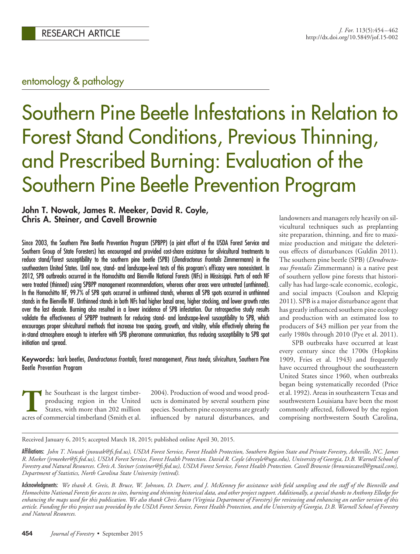# entomology & pathology

# Southern Pine Beetle Infestations in Relation to Forest Stand Conditions, Previous Thinning, and Prescribed Burning: Evaluation of the Southern Pine Beetle Prevention Program

# **John T. Nowak, James R. Meeker, David R. Coyle, Chris A. Steiner, and Cavell Brownie**

Since 2003, the Southern Pine Beetle Prevention Program (SPBPP) (a joint effort of the USDA Forest Service and Southern Group of State Foresters) has encouraged and provided cost-share assistance for silvicultural treatments to reduce stand/forest susceptibility to the southern pine beetle (SPB) (*Dendroctonus frontalis* Zimmermann) in the southeastern United States. Until now, stand- and landscape-level tests of this program's efficacy were nonexistent. In 2012, SPB outbreaks occurred in the Homochitto and Bienville National Forests (NFs) in Mississippi. Parts of each NF were treated (thinned) using SPBPP management recommendations, whereas other areas were untreated (unthinned). In the Homochitto NF, 99.7% of SPB spots occurred in unthinned stands, whereas all SPB spots occurred in unthinned stands in the Bienville NF. Unthinned stands in both NFs had higher basal area, higher stocking, and lower growth rates over the last decade. Burning also resulted in a lower incidence of SPB infestation. Our retrospective study results validate the effectiveness of SPBPP treatments for reducing stand- and landscape-level susceptibility to SPB, which encourages proper silvicultural methods that increase tree spacing, growth, and vitality, while effectively altering the in-stand atmosphere enough to interfere with SPB pheromone communication, thus reducing susceptibility to SPB spot initiation and spread.

**Keywords:** bark beetles, *Dendroctonus frontalis*, forest management, *Pinus taeda*, silviculture, Southern Pine Beetle Prevention Program

The Southeast is the largest timber-<br>producing region in the United<br>States, with more than 202 million<br>acres of commercial timberland (Smith et al. producing region in the United States, with more than 202 million acres of commercial timberland (Smith et al. 2004). Production of wood and wood products is dominated by several southern pine species. Southern pine ecosystems are greatly influenced by natural disturbances, and landowners and managers rely heavily on silvicultural techniques such as preplanting site preparation, thinning, and fire to maximize production and mitigate the deleterious effects of disturbances (Guldin 2011). The southern pine beetle (SPB) (*Dendroctonus frontalis* Zimmermann) is a native pest of southern yellow pine forests that historically has had large-scale economic, ecologic, and social impacts (Coulson and Klepzig 2011). SPB is a major disturbance agent that has greatly influenced southern pine ecology and production with an estimated loss to producers of \$43 million per year from the early 1980s through 2010 (Pye et al. 2011).

SPB outbreaks have occurred at least every century since the 1700s (Hopkins 1909, Fries et al. 1943) and frequently have occurred throughout the southeastern United States since 1960, when outbreaks began being systematically recorded (Price et al. 1992). Areas in southeastern Texas and southwestern Louisiana have been the most commonly affected, followed by the region comprising northwestern South Carolina,

Received January 6, 2015; accepted March 18, 2015; published online April 30, 2015.

Affiliations: *John T. Nowak (jnowak@fs.fed.us), USDA Forest Service, Forest Health Protection, Southern Region State and Private Forestry, Asheville, NC. James R. Meeker (jrmeeker@fs.fed.us), USDA Forest Service, Forest Health Protection. David R. Coyle (drcoyle@uga.edu), University of Georgia, D.B. Warnell School of Forestry and Natural Resources. Chris A. Steiner (csteiner@fs.fed.us), USDA Forest Service, Forest Health Protection. Cavell Brownie (browniecavell@gmail.com), Department of Statistics, North Carolina State University (retired).*

Acknowledgments: *We thank A. Greis, B. Bruce, W. Johnson, D. Duerr, and J. McKenney for assistance with field sampling and the staff of the Bienville and Homochitto National Forests for access to sites, burning and thinning historical data, and other project support. Additionally, a special thanks to Anthony Elledge for enhancing the maps used for this publication. We also thank Chris Asaro (Virginia Department of Forestry) for reviewing and enhancing an earlier version of this article. Funding for this project was provided by the USDA Forest Service, Forest Health Protection, and the University of Georgia, D.B. Warnell School of Forestry and Natural Resources.*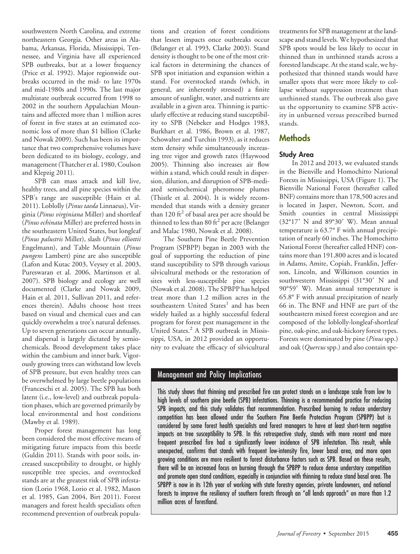southwestern North Carolina, and extreme northeastern Georgia. Other areas in Alabama, Arkansas, Florida, Mississippi, Tennessee, and Virginia have all experienced SPB outbreaks, but at a lower frequency (Price et al. 1992). Major regionwide outbreaks occurred in the mid- to late 1970s and mid-1980s and 1990s. The last major multistate outbreak occurred from 1998 to 2002 in the southern Appalachian Mountains and affected more than 1 million acres of forest in five states at an estimated economic loss of more than \$1 billion (Clarke and Nowak 2009). Such has been its importance that two comprehensive volumes have been dedicated to its biology, ecology, and management (Thatcher et al. 1980, Coulson and Klepzig 2011).

SPB can mass attack and kill live, healthy trees, and all pine species within the SPB's range are susceptible (Hain et al. 2011). Loblolly (*Pinus taeda* Linnaeus), Virginia (*Pinus virginiana* Miller) and shortleaf (*Pinus echinata* Miller) are preferred hosts in the southeastern United States, but longleaf (*Pinus palustris* Miller), slash (*Pinus elliottii* Engelmann), and Table Mountain (*Pinus pungens* Lambert) pine are also susceptible (Lafon and Kutac 2003, Veysey et al. 2003, Pureswaran et al. 2006, Martinson et al. 2007). SPB biology and ecology are well documented (Clarke and Nowak 2009, Hain et al. 2011, Sullivan 2011, and references therein). Adults choose host trees based on visual and chemical cues and can quickly overwhelm a tree's natural defenses. Up to seven generations can occur annually, and dispersal is largely dictated by semiochemicals. Brood development takes place within the cambium and inner bark. Vigorously growing trees can withstand low levels of SPB pressure, but even healthy trees can be overwhelmed by large beetle populations (Franceschi et al. 2005). The SPB has both latent (i.e., low-level) and outbreak population phases, which are governed primarily by local environmental and host conditions (Mawby et al. 1989).

Proper forest management has long been considered the most effective means of mitigating future impacts from this beetle (Guldin 2011). Stands with poor soils, increased susceptibility to drought, or highly susceptible tree species, and overstocked stands are at the greatest risk of SPB infestation (Lorio 1968, Lorio et al. 1982, Mason et al. 1985, Gan 2004, Birt 2011). Forest managers and forest health specialists often recommend prevention of outbreak popula-

tions and creation of forest conditions that lessen impacts once outbreaks occur (Belanger et al. 1993, Clarke 2003). Stand density is thought to be one of the most critical factors in determining the chances of SPB spot initiation and expansion within a stand. For overstocked stands (which, in general, are inherently stressed) a finite amount of sunlight, water, and nutrients are available in a given area. Thinning is particularly effective at reducing stand susceptibility to SPB (Nebeker and Hodges 1983, Burkhart et al. 1986, Brown et al. 1987, Schowalter and Turchin 1993), as it reduces stem density while simultaneously increasing tree vigor and growth rates (Haywood 2005). Thinning also increases air flow within a stand, which could result in dispersion, dilution, and disruption of SPB-mediated semiochemical pheromone plumes (Thistle et al. 2004). It is widely recommended that stands with a density greater than  $120 \text{ ft}^2$  of basal area per acre should be thinned to less than 80 ft<sup>2</sup> per acre (Belanger and Malac 1980, Nowak et al. 2008).

The Southern Pine Beetle Prevention Program (SPBPP) began in 2003 with the goal of supporting the reduction of pine stand susceptibility to SPB through various silvicultural methods or the restoration of sites with less-susceptible pine species (Nowak et al. 2008). The SPBPP has helped treat more than 1.2 million acres in the southeastern United States<sup>1</sup> and has been widely hailed as a highly successful federal program for forest pest management in the United States.<sup>2</sup> A SPB outbreak in Mississippi, USA, in 2012 provided an opportunity to evaluate the efficacy of silvicultural

treatments for SPB management at the landscape and stand levels. We hypothesized that SPB spots would be less likely to occur in thinned than in unthinned stands across a forested landscape. At the stand scale, we hypothesized that thinned stands would have smaller spots that were more likely to collapse without suppression treatment than unthinned stands. The outbreak also gave us the opportunity to examine SPB activity in unburned versus prescribed burned stands.

# **Methods**

## **Study Area**

In 2012 and 2013, we evaluated stands in the Bienville and Homochitto National Forests in Mississippi, USA (Figure 1). The Bienville National Forest (hereafter called BNF) contains more than 178,500 acres and is located in Jasper, Newton, Scott, and Smith counties in central Mississippi (32°17' N and 89°30' W). Mean annual temperature is 63.7° F with annual precipitation of nearly 60 inches. The Homochitto National Forest (hereafter called HNF) contains more than 191,800 acres and is located in Adams, Amite, Copiah, Franklin, Jefferson, Lincoln, and Wilkinson counties in southwestern Mississippi (31°30' N and 90°59' W). Mean annual temperature is 65.8° F with annual precipitation of nearly 66 in. The BNF and HNF are part of the southeastern mixed forest ecoregion and are composed of the loblolly-longleaf-shortleaf pine, oak-pine, and oak-hickory forest types. Forests were dominated by pine (*Pinus* spp.) and oak (*Quercus* spp.) and also contain spe-

# Management and Policy Implications

This study shows that thinning and prescribed fire can protect stands on a landscape scale from low to high levels of southern pine beetle (SPB) infestations. Thinning is a recommended practice for reducing SPB impacts, and this study validates that recommendation. Prescribed burning to reduce understory competition has been allowed under the Southern Pine Beetle Protection Program (SPBPP) but is considered by some forest health specialists and forest managers to have at least short-term negative impacts on tree susceptibility to SPB. In this retrospective study, stands with more recent and more frequent prescribed fire had a significantly lower incidence of SPB infestation. This result, while unexpected, confirms that stands with frequent low-intensity fire, lower basal area, and more open growing conditions are more resilient to forest disturbance factors such as SPB. Based on these results, there will be an increased focus on burning through the SPBPP to reduce dense understory competition and promote open stand conditions, especially in conjunction with thinning to reduce stand basal area. The SPBPP is now in its 12th year of working with state forestry agencies, private landowners, and national forests to improve the resiliency of southern forests through an "all lands approach" on more than 1.2 million acres of forestland.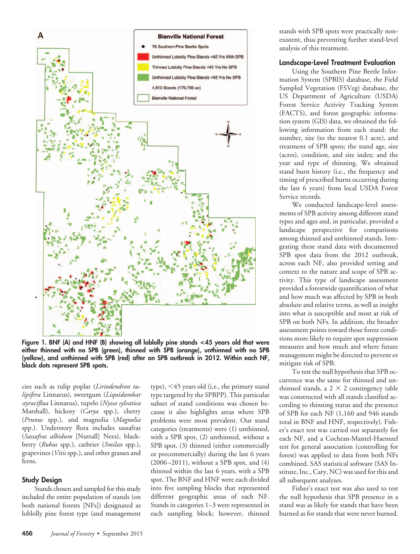

**Figure 1. BNF (A) and HNF (B) showing all loblolly pine stands <45 years old that were either thinned with no SPB (green), thinned with SPB (orange), unthinned with no SPB (yellow), and unthinned with SPB (red) after an SPB outbreak in 2012. Within each NF, black dots represent SPB spots.**

cies such as tulip poplar (*Liriodendron tulipifera* Linnaeus), sweetgum (*Liquidambar styraciflua* Linnaeus), tupelo (*Nyssa sylvatica* Marshall), hickory (*Carya* spp.), cherry (*Prunus* spp.), and magnolia (*Magnolia* spp.). Understory flora includes sassafras (*Sassafras albidum* [Nuttall] Nees), blackberry (*Rubus* spp.), catbrier (*Smilax* spp.), grapevines (*Vitis* spp.), and other grasses and ferns.

#### **Study Design**

Stands chosen and sampled for this study included the entire population of stands (on both national forests [NFs]) designated as loblolly pine forest type (and management

type), 45 years old (i.e., the primary stand type targeted by the SPBPP). This particular subset of stand conditions was chosen because it also highlights areas where SPB problems were most prevalent. Our stand categories (treatments) were (1) unthinned, with a SPB spot, (2) unthinned, without a SPB spot, (3) thinned (either commercially or precommercially) during the last 6 years  $(2006 - 2011)$ , without a SPB spot, and  $(4)$ thinned within the last 6 years, with a SPB spot. The BNF and HNF were each divided into five sampling blocks that represented different geographic areas of each NF. Stands in categories 1–3 were represented in each sampling block; however, thinned

stands with SPB spots were practically nonexistent, thus preventing further stand-level analysis of this treatment.

#### **Landscape-Level Treatment Evaluation**

Using the Southern Pine Beetle Information System (SPBIS) database, the Field Sampled Vegetation (FSVeg) database, the US Department of Agriculture (USDA) Forest Service Activity Tracking System (FACTS), and forest geographic information system (GIS) data, we obtained the following information from each stand: the number, size (to the nearest 0.1 acre), and treatment of SPB spots; the stand age, size (acres), condition, and site index; and the year and type of thinning. We obtained stand burn history (i.e., the frequency and timing of prescribed burns occurring during the last 6 years) from local USDA Forest Service records.

We conducted landscape-level assessments of SPB activity among different stand types and ages and, in particular, provided a landscape perspective for comparisons among thinned and unthinned stands. Integrating these stand data with documented SPB spot data from the 2012 outbreak, across each NF, also provided setting and context to the nature and scope of SPB activity. This type of landscape assessment provided a forestwide quantification of what and how much was affected by SPB in both absolute and relative terms, as well as insight into what is susceptible and most at risk of SPB on both NFs. In addition, the broader assessment points toward those forest conditions more likely to require spot suppression measures and how much and where future management might be directed to prevent or mitigate risk of SPB.

To test the null hypothesis that SPB occurrence was the same for thinned and unthinned stands, a  $2 \times 2$  contingency table was constructed with all stands classified according to thinning status and the presence of SPB for each NF (1,160 and 946 stands total in BNF and HNF, respectively). Fisher's exact test was carried out separately for each NF, and a Cochran-Mantel-Haenszel test for general association (controlling for forest) was applied to data from both NFs combined. SAS statistical software (SAS Institute, Inc., Cary, NC) was used for this and all subsequent analyses.

Fisher's exact test was also used to test the null hypothesis that SPB presence in a stand was as likely for stands that have been burned as for stands that were never burned.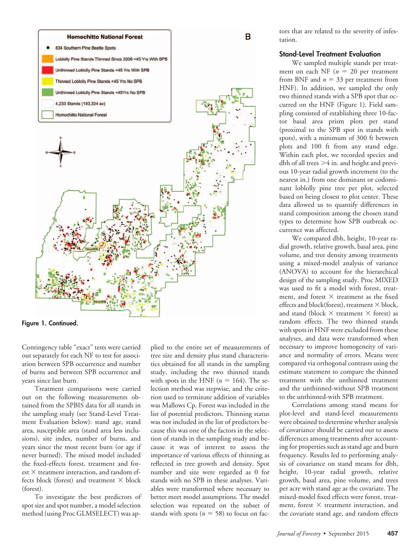

**Figure 1. Continued.**

Contingency table "exact" tests were carried out separately for each NF to test for association between SPB occurrence and number of burns and between SPB occurrence and years since last burn.

Treatment comparisons were carried out on the following measurements obtained from the SPBIS data for all stands in the sampling study (see Stand-Level Treatment Evaluation below): stand age, stand area, susceptible area (stand area less inclusions), site index, number of burns, and years since the most recent burn (or age if never burned). The mixed model included the fixed-effects forest, treatment and for $est \times$  treatment interaction, and random effects block (forest) and treatment  $\times$  block (forest).

To investigate the best predictors of spot size and spot number, a model selection method (using Proc GLMSELECT) was ap-

plied to the entire set of measurements of tree size and density plus stand characteristics obtained for all stands in the sampling study, including the two thinned stands with spots in the HNF  $(n = 164)$ . The selection method was stepwise, and the criterion used to terminate addition of variables was Mallows Cp. Forest was included in the list of potential predictors. Thinning status was not included in the list of predictors because this was one of the factors in the selection of stands in the sampling study and because it was of interest to assess the importance of various effects of thinning as reflected in tree growth and density. Spot number and size were regarded as 0 for stands with no SPB in these analyses. Variables were transformed where necessary to better meet model assumptions. The model selection was repeated on the subset of stands with spots  $(n = 58)$  to focus on factors that are related to the severity of infestation.

## **Stand-Level Treatment Evaluation**

We sampled multiple stands per treatment on each NF  $(n = 20$  per treatment from BNF and  $n = 33$  per treatment from HNF). In addition, we sampled the only two thinned stands with a SPB spot that occurred on the HNF (Figure 1). Field sampling consisted of establishing three 10-factor basal area prism plots per stand (proximal to the SPB spot in stands with spots), with a minimum of 300 ft between plots and 100 ft from any stand edge. Within each plot, we recorded species and dbh of all trees  $>4$  in. and height and previous 10-year radial growth increment (to the nearest in.) from one dominant or codominant loblolly pine tree per plot, selected based on being closest to plot center. These data allowed us to quantify differences in stand composition among the chosen stand types to determine how SPB outbreak occurrence was affected.

We compared dbh, height, 10-year radial growth, relative growth, basal area, pine volume, and tree density among treatments using a mixed-model analysis of variance (ANOVA) to account for the hierarchical design of the sampling study. Proc MIXED was used to fit a model with forest, treatment, and forest  $\times$  treatment as the fixed effects and block(forest), treatment  $\times$  block, and stand (block  $\times$  treatment  $\times$  forest) as random effects. The two thinned stands with spots in HNF were excluded from these analyses, and data were transformed when necessary to improve homogeneity of variance and normality of errors. Means were compared via orthogonal contrasts using the estimate statement to compare the thinned treatment with the unthinned treatment and the unthinned-without SPB treatment to the unthinned-with SPB treatment.

Correlations among stand means for plot-level and stand-level measurements were obtained to determine whether analysis of covariance should be carried out to assess differences among treatments after accounting for properties such as stand age and burn frequency. Results led to performing analysis of covariance on stand means for dbh, height, 10-year radial growth, relative growth, basal area, pine volume, and trees per acre with stand age as the covariate. The mixed-model fixed effects were forest, treatment, forest  $\times$  treatment interaction, and the covariate stand age, and random effects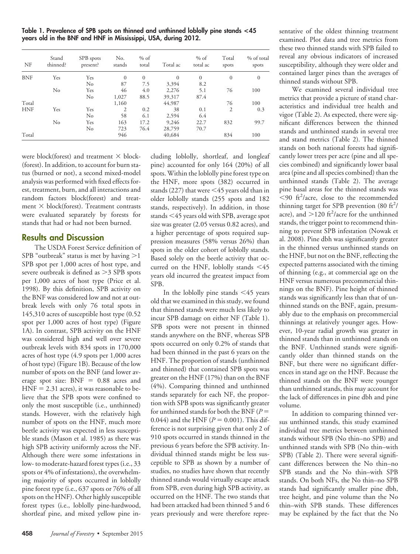**Table 1. Prevalence of SPB spots on thinned and unthinned loblolly pine stands <45 years old in the BNF and HNF in Mississippi, USA, during 2012.**

| NF         | Stand<br>thinned? | SPB spots<br>present? | No.<br>stands | $%$ of<br>total | Total ac | $%$ of<br>total ac | Total<br>spots | % of total<br>spots |
|------------|-------------------|-----------------------|---------------|-----------------|----------|--------------------|----------------|---------------------|
| <b>BNF</b> | Yes               | Yes                   | $\Omega$      | $\theta$        | $\Omega$ | $\overline{0}$     | $\mathbf{0}$   | $\mathbf{0}$        |
|            |                   | No                    | 87            | 7.5             | 3,394    | 8.2                |                |                     |
|            | No                | Yes                   | 46            | 4.0             | 2,276    | 5.1                | 76             | 100                 |
|            |                   | No                    | 1,027         | 88.5            | 39,317   | 87.4               |                |                     |
| Total      |                   |                       | 1,160         |                 | 44,987   |                    | 76             | 100                 |
| <b>HNF</b> | Yes               | Yes                   | 2             | 0.2             | 38       | 0.1                | 2              | 0.3                 |
|            |                   | No                    | 58            | 6.1             | 2,594    | 6.4                |                |                     |
|            | No                | Yes                   | 163           | 17.2            | 9,246    | 22.7               | 832            | 99.7                |
|            |                   | No                    | 723           | 76.4            | 28,759   | 70.7               |                |                     |
| Total      |                   |                       | 946           |                 | 40,684   |                    | 834            | 100                 |

were block(forest) and treatment  $\times$  block-(forest). In addition, to account for burn status (burned or not), a second mixed-model analysis was performed with fixed effects forest, treatment, burn, and all interactions and random factors block(forest) and treatment  $\times$  block(forest). Treatment contrasts were evaluated separately by forests for stands that had or had not been burned.

## **Results and Discussion**

The USDA Forest Service definition of SPB "outbreak" status is met by having  $>1$ SPB spot per 1,000 acres of host type, and severe outbreak is defined as  $>3$  SPB spots per 1,000 acres of host type (Price et al. 1998). By this definition, SPB activity on the BNF was considered low and not at outbreak levels with only 76 total spots in 145,310 acres of susceptible host type (0.52 spot per 1,000 acres of host type) (Figure 1A). In contrast, SPB activity on the HNF was considered high and well over severe outbreak levels with 834 spots in 170,000 acres of host type (4.9 spots per 1,000 acres of host type) (Figure 1B). Because of the low number of spots on the BNF (and lower average spot size:  $BNF = 0.88$  acres and  $HNF = 2.31$  acres), it was reasonable to believe that the SPB spots were confined to only the most susceptible (i.e., unthinned) stands. However, with the relatively high number of spots on the HNF, much more beetle activity was expected in less susceptible stands (Mason et al. 1985) as there was high SPB activity uniformly across the NF. Although there were some infestations in low- to moderate-hazard forest types (i.e., 33 spots or 4% of infestations), the overwhelming majority of spots occurred in loblolly pine forest type (i.e., 637 spots or 76% of all spots on the HNF). Other highly susceptible forest types (i.e., loblolly pine-hardwood, shortleaf pine, and mixed yellow pine in-

cluding loblolly, shortleaf, and longleaf pine) accounted for only 164 (20%) of all spots. Within the loblolly pine forest type on the HNF, more spots (382) occurred in stands (227) that were  $\leq$  45 years old than in older loblolly stands (255 spots and 182 stands, respectively). In addition, in those stands <45 years old with SPB, average spot size was greater (2.05 versus 0.82 acres), and a higher percentage of spots required suppression measures (58% versus 26%) than spots in the older cohort of loblolly stands. Based solely on the beetle activity that occurred on the HNF, loblolly stands  $\leq 45$ years old incurred the greatest impact from SPB.

In the loblolly pine stands  $\leq 45$  years old that we examined in this study, we found that thinned stands were much less likely to incur SPB damage on either NF (Table 1). SPB spots were not present in thinned stands anywhere on the BNF, whereas SPB spots occurred on only 0.2% of stands that had been thinned in the past 6 years on the HNF. The proportion of stands (unthinned and thinned) that contained SPB spots was greater on the HNF (17%) than on the BNF (4%). Comparing thinned and unthinned stands separately for each NF, the proportion with SPB spots was significantly greater for unthinned stands for both the BNF (*P* 0.044) and the HNF  $(P = 0.001)$ . This difference is not surprising given that only 2 of 910 spots occurred in stands thinned in the previous 6 years before the SPB activity. Individual thinned stands might be less susceptible to SPB as shown by a number of studies, no studies have shown that recently thinned stands would virtually escape attack from SPB, even during high SPB activity, as occurred on the HNF. The two stands that had been attacked had been thinned 5 and 6 years previously and were therefore repre-

sentative of the oldest thinning treatment examined. Plot data and tree metrics from these two thinned stands with SPB failed to reveal any obvious indicators of increased susceptibility, although they were older and contained larger pines than the averages of thinned stands without SPB.

We examined several individual tree metrics that provide a picture of stand characteristics and individual tree health and vigor (Table 2). As expected, there were significant differences between the thinned stands and unthinned stands in several tree and stand metrics (Table 2). The thinned stands on both national forests had significantly lower trees per acre (pine and all species combined) and significantly lower basal area (pine and all species combined) than the unthinned stands (Table 2). The average pine basal areas for the thinned stands was  $<$ 90 ft<sup>2</sup>/acre, close to the recommended thinning target for SPB prevention (80  $\text{ft}^2$ / acre), and  $>$ 120 ft<sup>2</sup>/acre for the unthinned stands, the trigger point to recommend thinning to prevent SPB infestation (Nowak et al. 2008). Pine dbh was significantly greater in the thinned versus unthinned stands on the HNF, but not on the BNF, reflecting the expected patterns associated with the timing of thinning (e.g., at commercial age on the HNF versus numerous precommercial thinnings on the BNF). Pine height of thinned stands was significantly less than that of unthinned stands on the BNF, again, presumably due to the emphasis on precommercial thinnings at relatively younger ages. However, 10-year radial growth was greater in thinned stands than in unthinned stands on the BNF. Unthinned stands were significantly older than thinned stands on the BNF, but there were no significant differences in stand age on the HNF. Because the thinned stands on the BNF were younger than unthinned stands, this may account for the lack of differences in pine dbh and pine volume.

In addition to comparing thinned versus unthinned stands, this study examined individual tree metrics between unthinned stands without SPB (No thin–no SPB) and unthinned stands with SPB (No thin–with SPB) (Table 2). There were several significant differences between the No thin–no SPB stands and the No thin–with SPB stands. On both NFs, the No thin–no SPB stands had significantly smaller pine dbh, tree height, and pine volume than the No thin–with SPB stands. These differences may be explained by the fact that the No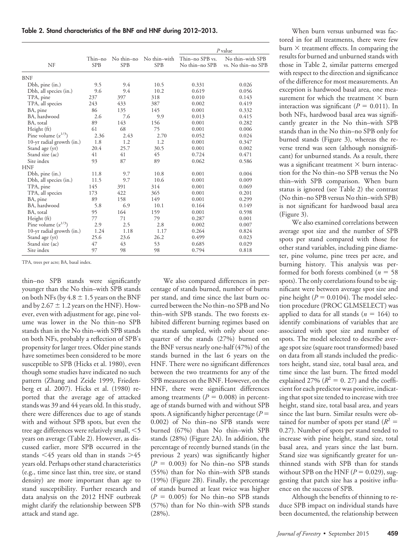|  |  | Table 2. Stand characteristics of the BNF and HNF during 2012-2013. |  |  |  |  |  |  |  |
|--|--|---------------------------------------------------------------------|--|--|--|--|--|--|--|
|--|--|---------------------------------------------------------------------|--|--|--|--|--|--|--|

|                           |                       |                   |                            | P value                           |                                        |
|---------------------------|-----------------------|-------------------|----------------------------|-----------------------------------|----------------------------------------|
| NF                        | Thin–no<br><b>SPB</b> | No thin-no<br>SPB | No thin-with<br><b>SPB</b> | Thin-no SPB vs.<br>No thin-no SPB | No thin-with SPB<br>vs. No thin-no SPB |
| <b>BNF</b>                |                       |                   |                            |                                   |                                        |
| Dbh, pine (in.)           | 9.5                   | 9.4               | 10.5                       | 0.331                             | 0.026                                  |
| Dbh, all species (in.)    | 9.6                   | 9.4               | 10.2                       | 0.619                             | 0.056                                  |
| TPA, pine                 | 237                   | 397               | 318                        | 0.010                             | 0.143                                  |
| TPA, all species          | 243                   | 433               | 387                        | 0.002                             | 0.419                                  |
| BA, pine                  | 86                    | 135               | 145                        | 0.001                             | 0.332                                  |
| BA, hardwood              | 2.6                   | 7.6               | 9.9                        | 0.013                             | 0.415                                  |
| BA, total                 | 89                    | 143               | 156                        | 0.001                             | 0.282                                  |
| Height (ft)               | 61                    | 68                | 75                         | 0.001                             | 0.006                                  |
| Pine volume $(x^{1/3})$   | 2.36                  | 2.43              | 2.70                       | 0.052                             | 0.024                                  |
| 10-yr radial growth (in.) | 1.8                   | 1.2               | 1.2                        | 0.001                             | 0.347                                  |
| Stand age (yr)            | 20.4                  | 25.7              | 30.5                       | 0.001                             | 0.002                                  |
| Stand size (ac)           | 41                    | 41                | 45                         | 0.724                             | 0.471                                  |
| Site index                | 93                    | 87                | 89                         | 0.062                             | 0.586                                  |
| <b>HNF</b>                |                       |                   |                            |                                   |                                        |
| Dbh, pine (in.)           | 11.8                  | 9.7               | 10.8                       | 0.001                             | 0.004                                  |
| Dbh, all species (in.)    | 11.5                  | 9.7               | 10.6                       | 0.001                             | 0.009                                  |
| TPA, pine                 | 145                   | 391               | 314                        | 0.001                             | 0.069                                  |
| TPA, all species          | 173                   | 422               | 365                        | 0.001                             | 0.201                                  |
| BA, pine                  | 89                    | 158               | 149                        | 0.001                             | 0.299                                  |
| BA, hardwood              | 5.8                   | 6.9               | 10.1                       | 0.164                             | 0.149                                  |
| BA, total                 | 95                    | 164               | 159                        | 0.001                             | 0.598                                  |
| Height (ft)               | 77                    | 71                | 79                         | 0.287                             | 0.001                                  |
| Pine volume $(x^{1/3})$   | 2.9                   | 2.5               | 2.8                        | 0.002                             | 0.007                                  |
| 10-yr radial growth (in.) | 1.24                  | 1.18              | 1.17                       | 0.264                             | 0.824                                  |
| Stand age (yr)            | 25.6                  | 23.6              | 26.2                       | 0.499                             | 0.023                                  |
| Stand size (ac)           | 47                    | 43                | 53                         | 0.685                             | 0.029                                  |
| Site index                | 97                    | 98                | 98                         | 0.794                             | 0.818                                  |

TPA, trees per acre; BA, basal index.

thin–no SPB stands were significantly younger than the No thin–with SPB stands on both NFs (by  $4.8 \pm 1.5$  years on the BNF and by 2.67  $\pm$  1.2 years on the HNF). However, even with adjustment for age, pine volume was lower in the No thin–no SPB stands than in the No thin–with SPB stands on both NFs, probably a reflection of SPB's propensity for larger trees. Older pine stands have sometimes been considered to be more susceptible to SPB (Hicks et al. 1980), even though some studies have indicated no such pattern (Zhang and Zeide 1999, Friedenberg et al. 2007). Hicks et al. (1980) reported that the average age of attacked stands was 39 and 44 years old. In this study, there were differences due to age of stands with and without SPB spots, but even the tree age differences were relatively small,  $<$  5 years on average (Table 2). However, as discussed earlier, more SPB occurred in the stands  $\leq 45$  years old than in stands  $\geq 45$ years old. Perhaps other stand characteristics (e.g., time since last thin, tree size, or stand density) are more important than age to stand susceptibility. Further research and data analysis on the 2012 HNF outbreak might clarify the relationship between SPB attack and stand age.

We also compared differences in percentage of stands burned, number of burns per stand, and time since the last burn occurred between the No thin–no SPB and No thin–with SPB stands. The two forests exhibited different burning regimes based on the stands sampled, with only about onequarter of the stands (27%) burned on the BNF versus nearly one-half (47%) of the stands burned in the last 6 years on the HNF. There were no significant differences between the two treatments for any of the SPB measures on the BNF. However, on the HNF, there were significant differences among treatments  $(P = 0.008)$  in percentage of stands burned with and without SPB spots. A significantly higher percentage  $(P =$ 0.002) of No thin–no SPB stands were burned (67%) than No thin–with SPB stands (28%) (Figure 2A). In addition, the percentage of recently burned stands (in the previous 2 years) was significantly higher  $(P = 0.003)$  for No thin–no SPB stands (55%) than for No thin–with SPB stands (19%) (Figure 2B). Finally, the percentage of stands burned at least twice was higher  $(P = 0.005)$  for No thin–no SPB stands (57%) than for No thin–with SPB stands  $(28%)$ .

When burn versus unburned was factored in for all treatments, there were few burn  $\times$  treatment effects. In comparing the results for burned and unburned stands with those in Table 2, similar patterns emerged with respect to the direction and significance of the difference for most measurements. An exception is hardwood basal area, one measurement for which the treatment  $\times$  burn interaction was significant ( $P = 0.011$ ). In both NFs, hardwood basal area was significantly greater in the No thin–with SPB stands than in the No thin–no SPB only for burned stands (Figure 3), whereas the reverse trend was seen (although nonsignificant) for unburned stands. As a result, there was a significant treatment  $\times$  burn interaction for the No thin–no SPB versus the No thin–with SPB comparison. When burn status is ignored (see Table 2) the contrast (No thin–no SPB versus No thin–with SPB) is not significant for hardwood basal area (Figure 3).

We also examined correlations between average spot size and the number of SPB spots per stand compared with those for other stand variables, including pine diameter, pine volume, pine trees per acre, and burning history. This analysis was performed for both forests combined ( $n = 58$ ) spots). The only correlations found to be significant were between average spot size and pine height ( $P = 0.0104$ ). The model selection procedure (PROC GLMSELECT) was applied to data for all stands  $(n = 164)$  to identify combinations of variables that are associated with spot size and number of spots. The model selected to describe average spot size (square root transformed) based on data from all stands included the predictors height, stand size, total basal area, and time since the last burn. The fitted model explained 27% ( $R^2 = 0.27$ ) and the coefficient for each predictor was positive, indicating that spot size tended to increase with tree height, stand size, total basal area, and years since the last burn. Similar results were obtained for number of spots per stand  $(R^2 =$ 0.27). Number of spots per stand tended to increase with pine height, stand size, total basal area, and years since the last burn. Stand size was significantly greater for unthinned stands with SPB than for stands without SPB on the HNF  $(P = 0.029)$ , suggesting that patch size has a positive influence on the success of SPB.

Although the benefits of thinning to reduce SPB impact on individual stands have been documented, the relationship between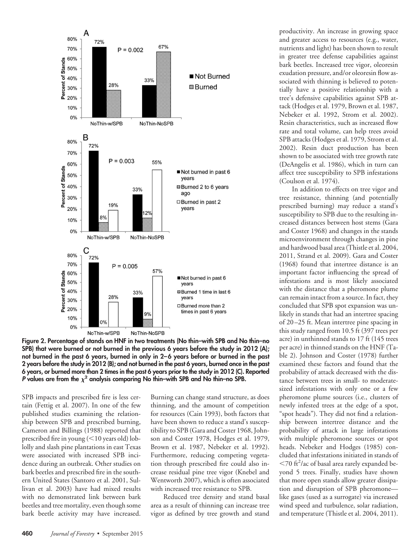

**Figure 2. Percentage of stands on HNF in two treatments (No thin–with SPB and No thin–no SPB) that were burned or not burned in the previous 6 years before the study in 2012 (A); not burned in the past 6 years, burned in only in 2–6 years before or burned in the past 2 years before the study in 2012 (B); and not burned in the past 6 years, burned once in the past 6 years, or burned more than 2 times in the past 6 years prior to the study in 2012 (C). Reported** *P* values are from the  $\chi^2$  analysis comparing No thin–with SPB and No thin–no SPB.

SPB impacts and prescribed fire is less certain (Fettig et al. 2007). In one of the few published studies examining the relationship between SPB and prescribed burning, Cameron and Billings (1988) reported that prescribed fire in young  $(<$ 10 years old) loblolly and slash pine plantations in east Texas were associated with increased SPB incidence during an outbreak. Other studies on bark beetles and prescribed fire in the southern United States (Santoro et al. 2001, Sullivan et al. 2003) have had mixed results with no demonstrated link between bark beetles and tree mortality, even though some bark beetle activity may have increased.

Burning can change stand structure, as does thinning, and the amount of competition for resources (Cain 1993), both factors that have been shown to reduce a stand's susceptibility to SPB (Gara and Coster 1968, Johnson and Coster 1978, Hodges et al. 1979, Brown et al. 1987, Nebeker et al. 1992). Furthermore, reducing competing vegetation through prescribed fire could also increase residual pine tree vigor (Knebel and Wentworth 2007), which is often associated with increased tree resistance to SPB.

Reduced tree density and stand basal area as a result of thinning can increase tree vigor as defined by tree growth and stand

productivity. An increase in growing space and greater access to resources (e.g., water, nutrients and light) has been shown to result in greater tree defense capabilities against bark beetles. Increased tree vigor, oleoresin exudation pressure, and/or oleoresin flow associated with thinning is believed to potentially have a positive relationship with a tree's defensive capabilities against SPB attack (Hodges et al. 1979, Brown et al. 1987, Nebeker et al. 1992, Strom et al. 2002). Resin characteristics, such as increased flow rate and total volume, can help trees avoid SPB attacks (Hodges et al. 1979, Strom et al. 2002). Resin duct production has been shown to be associated with tree growth rate (DeAngelis et al. 1986), which in turn can affect tree susceptibility to SPB infestations (Coulson et al. 1974).

In addition to effects on tree vigor and tree resistance, thinning (and potentially prescribed burning) may reduce a stand's susceptibility to SPB due to the resulting increased distances between host stems (Gara and Coster 1968) and changes in the stands microenvironment through changes in pine and hardwood basal area (Thistle et al. 2004, 2011, Strand et al. 2009). Gara and Coster (1968) found that intertree distance is an important factor influencing the spread of infestations and is most likely associated with the distance that a pheromone plume can remain intact from a source. In fact, they concluded that SPB spot expansion was unlikely in stands that had an intertree spacing of 20 –25 ft. Mean intertree pine spacing in this study ranged from 10.5 ft (397 trees per acre) in unthinned stands to 17 ft (145 trees per acre) in thinned stands on the HNF (Table 2). Johnson and Coster (1978) further examined these factors and found that the probability of attack decreased with the distance between trees in small- to moderatesized infestations with only one or a few pheromone plume sources (i.e., clusters of newly infested trees at the edge of a spot, "spot heads"). They did not find a relationship between intertree distance and the probability of attack in large infestations with multiple pheromone sources or spot heads. Nebeker and Hodges (1985) concluded that infestations initiated in stands of <70 ft<sup>2</sup>/ac of basal area rarely expanded beyond 5 trees. Finally, studies have shown that more open stands allow greater dissipation and disruption of SPB pheromone like gases (used as a surrogate) via increased wind speed and turbulence, solar radiation, and temperature (Thistle et al. 2004, 2011).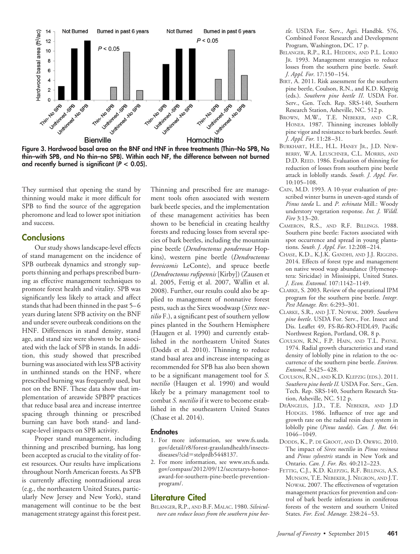

**Figure 3. Hardwood basal area on the BNF and HNF in three treatments (Thin–No SPB, No thin–with SPB, and No thin–no SPB). Within each NF, the difference between not burned** and recently burned is significant  $(P < 0.05)$ .

They surmised that opening the stand by thinning would make it more difficult for SPB to find the source of the aggregation pheromone and lead to lower spot initiation and success.

## **Conclusions**

Our study shows landscape-level effects of stand management on the incidence of SPB outbreak dynamics and strongly supports thinning and perhaps prescribed burning as effective management techniques to promote forest health and vitality. SPB was significantly less likely to attack and affect stands that had been thinned in the past 5– 6 years during latent SPB activity on the BNF and under severe outbreak conditions on the HNF. Differences in stand density, stand age, and stand size were shown to be associated with the lack of SPB in stands. In addition, this study showed that prescribed burning was associated with less SPB activity in unthinned stands on the HNF, where prescribed burning was frequently used, but not on the BNF. These data show that implementation of areawide SPBPP practices that reduce basal area and increase intertree spacing through thinning or prescribed burning can have both stand- and landscape-level impacts on SPB activity.

Proper stand management, including thinning and prescribed burning, has long been accepted as crucial to the vitality of forest resources. Our results have implications throughout North American forests. As SPB is currently affecting nontraditional areas (e.g., the northeastern United States, particularly New Jersey and New York), stand management will continue to be the best management strategy against this forest pest.

Thinning and prescribed fire are management tools often associated with western bark beetle species, and the implementation of these management activities has been shown to be beneficial in creating healthy forests and reducing losses from several species of bark beetles, including the mountain pine beetle (*Dendroctonus ponderosae* Hopkins), western pine beetle (*Dendroctonus brevicomis* LeConte), and spruce beetle (*Dendroctonus rufipennis* [Kirby]) (Zausen et al. 2005, Fettig et al. 2007, Wallin et al. 2008). Further, our results could also be applied to management of nonnative forest pests, such as the Sirex woodwasp (*Sirex noctilio* F.), a significant pest of southern yellow pines planted in the Southern Hemisphere (Haugen et al. 1990) and currently established in the northeastern United States (Dodds et al. 2010). Thinning to reduce stand basal area and increase interspacing as recommended for SPB has also been shown to be a significant management tool for *S. noctilio* (Haugen et al. 1990) and would likely be a primary management tool to combat *S. noctilio* if it were to become established in the southeastern United States (Chase et al. 2014).

#### **Endnotes**

- 1. For more information, see [www.fs.usda.](http://www.fs.usda.gov/detail/r8/forest-grasslandhealth/insects-diseases/?cid=stelprdb5448137) [gov/detail/r8/forest-grasslandhealth/insects](http://www.fs.usda.gov/detail/r8/forest-grasslandhealth/insects-diseases/?cid=stelprdb5448137)diseases/?cid=[stelprdb5448137.](http://www.fs.usda.gov/detail/r8/forest-grasslandhealth/insects-diseases/?cid=stelprdb5448137)
- 2. For more information, see [www.srs.fs.usda.](http://www.srs.fs.usda.gov/compass/2012/09/12/secretarys-honor-award-for-southern-pine-beetle-prevention-program/) [gov/compass/2012/09/12/secretarys-honor](http://www.srs.fs.usda.gov/compass/2012/09/12/secretarys-honor-award-for-southern-pine-beetle-prevention-program/)[award-for-southern-pine-beetle-prevention](http://www.srs.fs.usda.gov/compass/2012/09/12/secretarys-honor-award-for-southern-pine-beetle-prevention-program/)[program/.](http://www.srs.fs.usda.gov/compass/2012/09/12/secretarys-honor-award-for-southern-pine-beetle-prevention-program/)

## **Literature Cited**

BELANGER, R.P., AND B.F. MALAC. 1980. *Silviculture can reduce losses from the southern pine bee-* *tle*. USDA For. Serv., Agri. Handbk. 576, Combined Forest Research and Development Program, Washington, DC. 17 p.

- BELANGER, R.P., R.L. HEDDEN, AND P.L. LORIO JR. 1993. Management strategies to reduce losses from the southern pine beetle. *South. J. Appl. For.* 17:150 –154.
- BIRT, A. 2011. Risk assessment for the southern pine beetle, Coulson, R.N., and K.D. Klepzig (eds.). *Southern pine beetle II*. USDA For. Serv., Gen. Tech. Rep. SRS-140, Southern Research Station, Asheville, NC. 512 p.
- BROWN, M.W., T.E. NEBEKER, AND C.R. HONEA. 1987. Thinning increases loblolly pine vigor and resistance to bark beetles. *South. J. Appl. For.* 11:28 –31.
- BURKHART, H.E., H.L. HANEY JR., J.D. NEW-BERRY, W.A. LEUSCHNER, C.L. MORRIS, AND D.D. REED. 1986. Evaluation of thinning for reduction of losses from southern pine beetle attack in loblolly stands. *South. J. Appl. For.* 10:105–108.
- CAIN, M.D. 1993. A 10-year evaluation of prescribed winter burns in uneven-aged stands of *Pinus taeda* L. and *P. echinata* Mill.: Woody understory vegetation response. *Int. J. Wildl. Fire* 3:13–20.
- CAMERON, R.S., AND R.F. BILLINGS. 1988. Southern pine beetle: Factors associated with spot occurrence and spread in young plantations. *South. J. Appl. For.* 12:208 –214.
- CHASE, K.D., K.J.K. GANDHI, AND J.J. RIGGINS. 2014. Effects of forest type and management on native wood wasp abundance (Hymenoptera: Siricidae) in Mississippi, United States. *J. Econ. Entomol.* 107:1142–1149.
- CLARKE, S. 2003. Review of the operational IPM program for the southern pine beetle. *Integr. Pest Manage. Rev.* 6:293–301.
- CLARKE, S.R., AND J.T. NOWAK. 2009. *Southern pine beetle*. USDA For. Serv., For. Insect and Dis. Leaflet 49, FS-R6-RO-FIDL49, Pacific Northwest Region, Portland, OR. 8 p.
- COULSON, R.N., F.P. HAIN, AND T.L. PAYNE. 1974. Radial growth characteristics and stand density of loblolly pine in relation to the occurrence of the southern pine beetle. *Environ. Entomol.* 3:425– 428.
- COULSON, R.N., AND K.D. KLEPZIG (EDS.). 2011. *Southern pine beetle II.* USDA For. Serv., Gen. Tech. Rep. SRS-140, Southern Research Station, Asheville, NC. 512 p.
- DEANGELIS, J.D., T.E. NEBEKER, AND J.D HODGES. 1986. Influence of tree age and growth rate on the radial resin duct system in loblolly pine (*Pinus taeda*). *Can. J. Bot.* 64: 1046 –1049.
- DODDS, K., P. DE GROOT, AND D. ORWIG. 2010. The impact of *Sirex noctilio* in *Pinus resinosa* and *Pinus sylvestris* stands in New York and Ontario. *Can. J. For. Res.* 40:212–223.
- FETTIG, C.J., K.D. KLEPZIG, R.F. BILLINGS, A.S. MUNSON, T.E. NEBEKER, J. NEGRON, AND J.T. NOWAK. 2007. The effectiveness of vegetation management practices for prevention and control of bark beetle infestations in coniferous forests of the western and southern United States. *For. Ecol. Manage.* 238:24 –53.